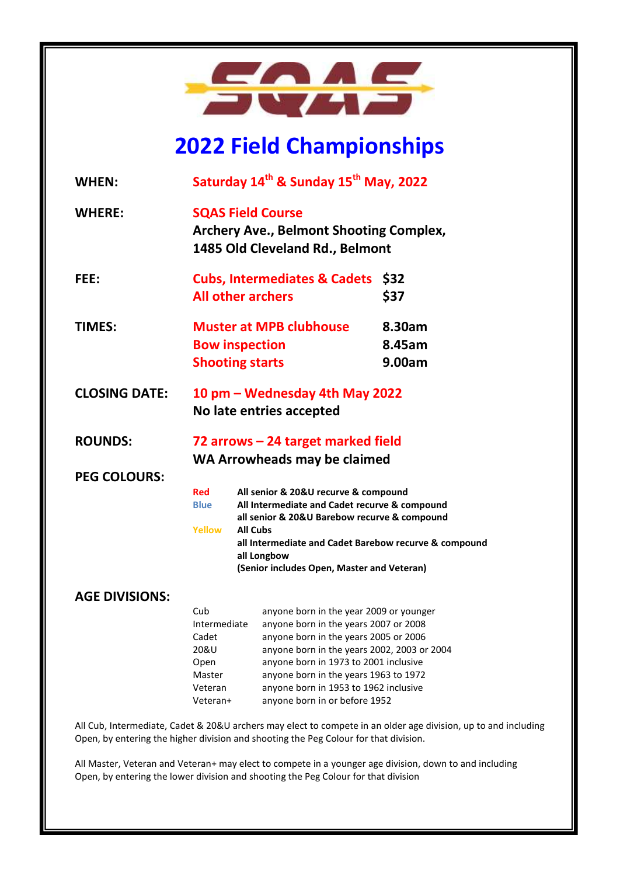

# **2022 Field Championships**

| <b>WHEN:</b>                                                                                                                                                                                           | Saturday 14 <sup>th</sup> & Sunday 15 <sup>th</sup> May, 2022                                                 |                                                                                                                                                                                                                                                                                                                                      |                            |
|--------------------------------------------------------------------------------------------------------------------------------------------------------------------------------------------------------|---------------------------------------------------------------------------------------------------------------|--------------------------------------------------------------------------------------------------------------------------------------------------------------------------------------------------------------------------------------------------------------------------------------------------------------------------------------|----------------------------|
| <b>WHERE:</b>                                                                                                                                                                                          | <b>SQAS Field Course</b><br><b>Archery Ave., Belmont Shooting Complex,</b><br>1485 Old Cleveland Rd., Belmont |                                                                                                                                                                                                                                                                                                                                      |                            |
| FEE:                                                                                                                                                                                                   | <b>Cubs, Intermediates &amp; Cadets</b><br><b>All other archers</b>                                           |                                                                                                                                                                                                                                                                                                                                      | \$32<br>\$37               |
| <b>TIMES:</b>                                                                                                                                                                                          | <b>Muster at MPB clubhouse</b><br><b>Bow inspection</b><br><b>Shooting starts</b>                             |                                                                                                                                                                                                                                                                                                                                      | 8.30am<br>8.45am<br>9.00am |
| <b>CLOSING DATE:</b>                                                                                                                                                                                   | 10 pm – Wednesday 4th May 2022<br>No late entries accepted                                                    |                                                                                                                                                                                                                                                                                                                                      |                            |
| <b>ROUNDS:</b>                                                                                                                                                                                         | 72 arrows – 24 target marked field<br>WA Arrowheads may be claimed                                            |                                                                                                                                                                                                                                                                                                                                      |                            |
| <b>PEG COLOURS:</b>                                                                                                                                                                                    |                                                                                                               |                                                                                                                                                                                                                                                                                                                                      |                            |
|                                                                                                                                                                                                        | Red<br><b>Blue</b><br>Yellow                                                                                  | All senior & 20&U recurve & compound<br>All Intermediate and Cadet recurve & compound<br>all senior & 20&U Barebow recurve & compound<br><b>All Cubs</b><br>all Intermediate and Cadet Barebow recurve & compound<br>all Longbow<br>(Senior includes Open, Master and Veteran)                                                       |                            |
| <b>AGE DIVISIONS:</b>                                                                                                                                                                                  |                                                                                                               |                                                                                                                                                                                                                                                                                                                                      |                            |
|                                                                                                                                                                                                        | Cub<br>Intermediate<br>Cadet<br>20&U<br>Open<br>Master<br>Veteran<br>Veteran+                                 | anyone born in the year 2009 or younger<br>anyone born in the years 2007 or 2008<br>anyone born in the years 2005 or 2006<br>anyone born in the years 2002, 2003 or 2004<br>anyone born in 1973 to 2001 inclusive<br>anyone born in the years 1963 to 1972<br>anyone born in 1953 to 1962 inclusive<br>anyone born in or before 1952 |                            |
| All Cub, Intermediate, Cadet & 20&U archers may elect to compete in an older age division, up to and including<br>Open, by entering the higher division and shooting the Peg Colour for that division. |                                                                                                               |                                                                                                                                                                                                                                                                                                                                      |                            |

All Master, Veteran and Veteran+ may elect to compete in a younger age division, down to and including Open, by entering the lower division and shooting the Peg Colour for that division